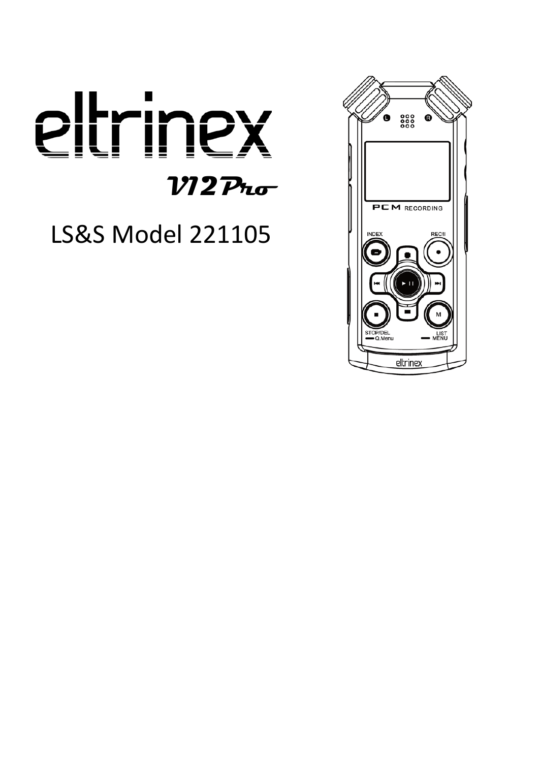

LS&S Model 221105

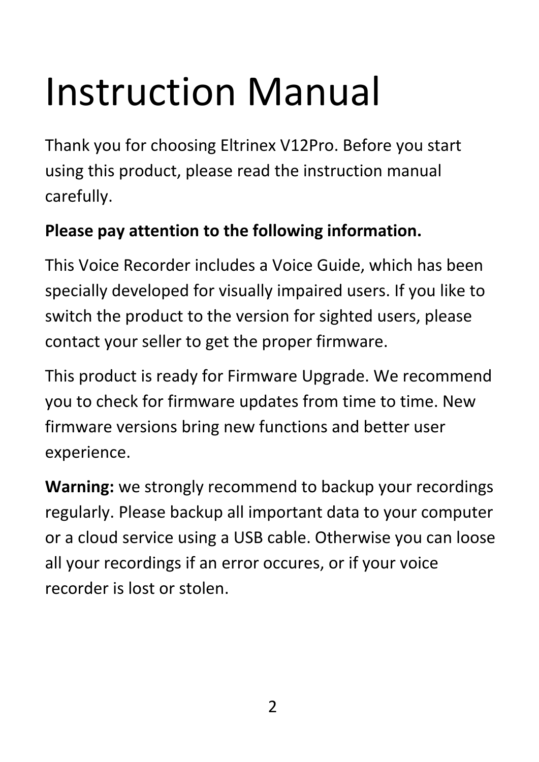# Instruction Manual

Thank you for choosing Eltrinex V12Pro. Before you start using this product, please read the instruction manual carefully.

#### **Please pay attention to the following information.**

This Voice Recorder includes a Voice Guide, which has been specially developed for visually impaired users. If you like to switch the product to the version for sighted users, please contact your seller to get the proper firmware.

This product is ready for Firmware Upgrade. We recommend you to check for firmware updates from time to time. New firmware versions bring new functions and better user experience.

**Warning:** we strongly recommend to backup your recordings regularly. Please backup all important data to your computer or a cloud service using a USB cable. Otherwise you can loose all your recordings if an error occures, or if your voice recorder is lost or stolen.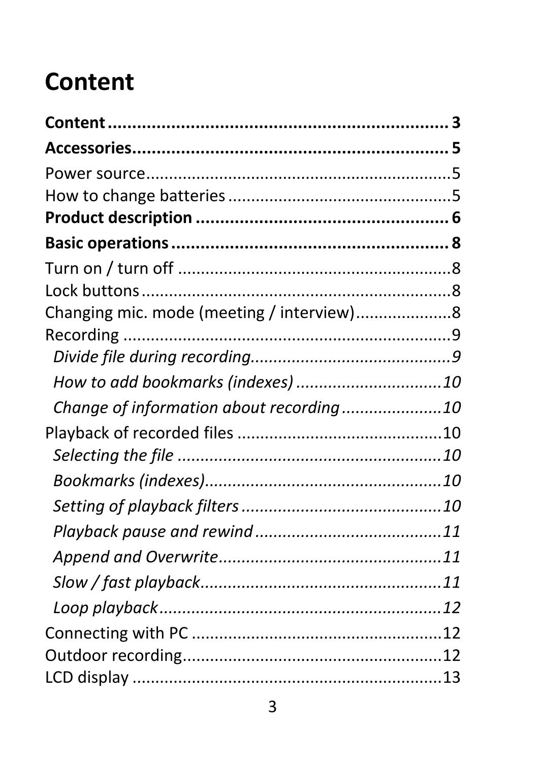# <span id="page-2-0"></span>**Content**

| Changing mic. mode (meeting / interview)8 |  |
|-------------------------------------------|--|
|                                           |  |
|                                           |  |
|                                           |  |
| Change of information about recording10   |  |
|                                           |  |
|                                           |  |
|                                           |  |
|                                           |  |
|                                           |  |
|                                           |  |
|                                           |  |
|                                           |  |
|                                           |  |
|                                           |  |
|                                           |  |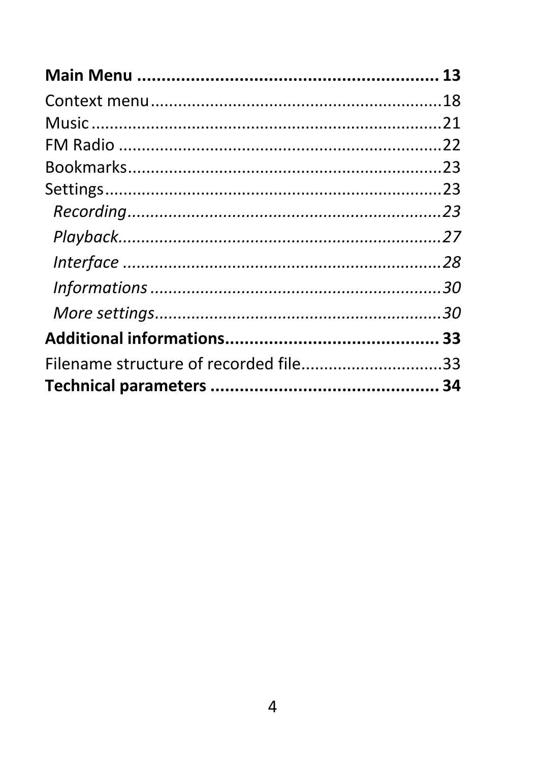| Filename structure of recorded file33 |  |
|---------------------------------------|--|
|                                       |  |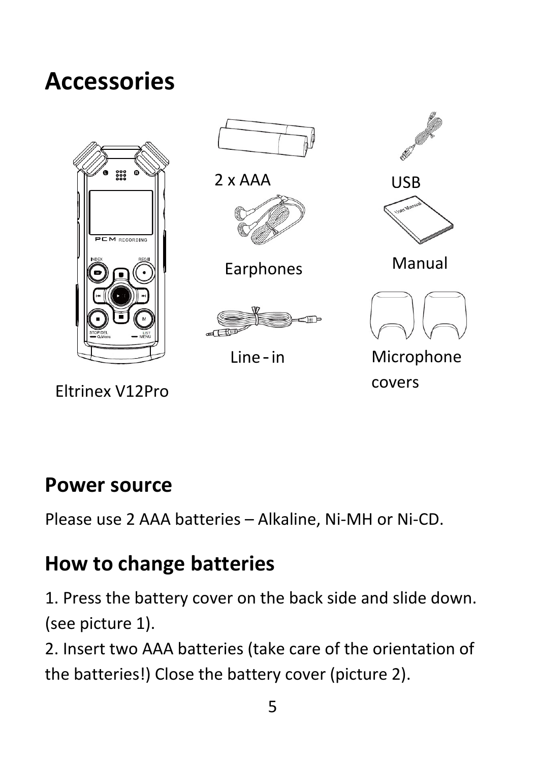# <span id="page-4-0"></span>**Accessories**



Eltrinex V12Pro

covers

#### <span id="page-4-1"></span>**Power source**

Please use 2 AAA batteries – Alkaline, Ni-MH or Ni-CD.

# <span id="page-4-2"></span>**How to change batteries**

1. Press the battery cover on the back side and slide down. (see picture 1).

2. Insert two AAA batteries (take care of the orientation of the batteries!) Close the battery cover (picture 2).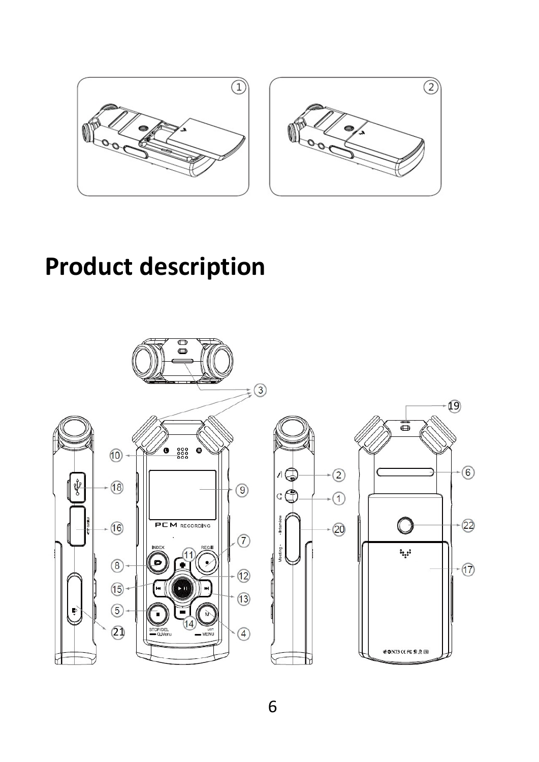

# <span id="page-5-0"></span>**Product description**

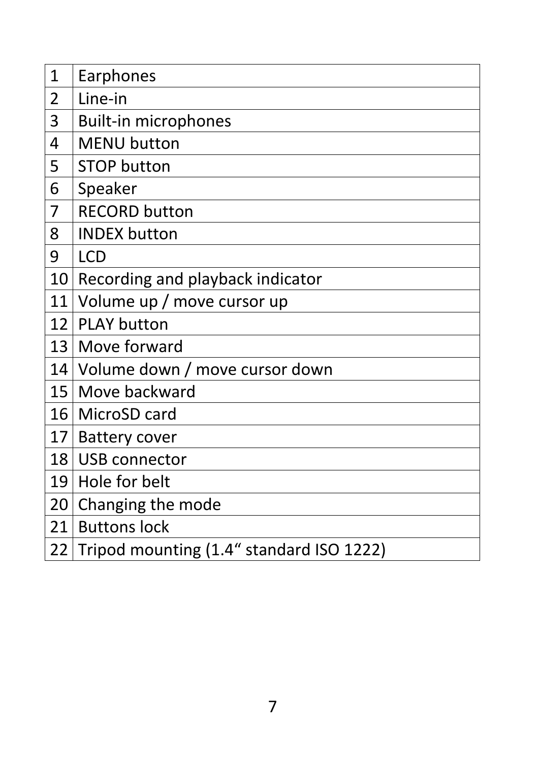| 1               | Earphones                                |
|-----------------|------------------------------------------|
| 2               | Line-in                                  |
| 3               | <b>Built-in microphones</b>              |
| 4               | <b>MENU button</b>                       |
| 5               | <b>STOP button</b>                       |
| 6               | Speaker                                  |
| 7               | <b>RECORD button</b>                     |
| 8               | <b>INDEX button</b>                      |
| 9               | <b>LCD</b>                               |
| 10              | Recording and playback indicator         |
| 11              | Volume up / move cursor up               |
| 12              | <b>PLAY button</b>                       |
| 13              | Move forward                             |
|                 | 14 Volume down / move cursor down        |
|                 | 15   Move backward                       |
|                 | 16   MicroSD card                        |
| 17 <sup>1</sup> | <b>Battery cover</b>                     |
| 18              | USB connector                            |
| 19              | Hole for belt                            |
| 20              | Changing the mode                        |
| 21              | <b>Buttons lock</b>                      |
| 22              | Tripod mounting (1.4" standard ISO 1222) |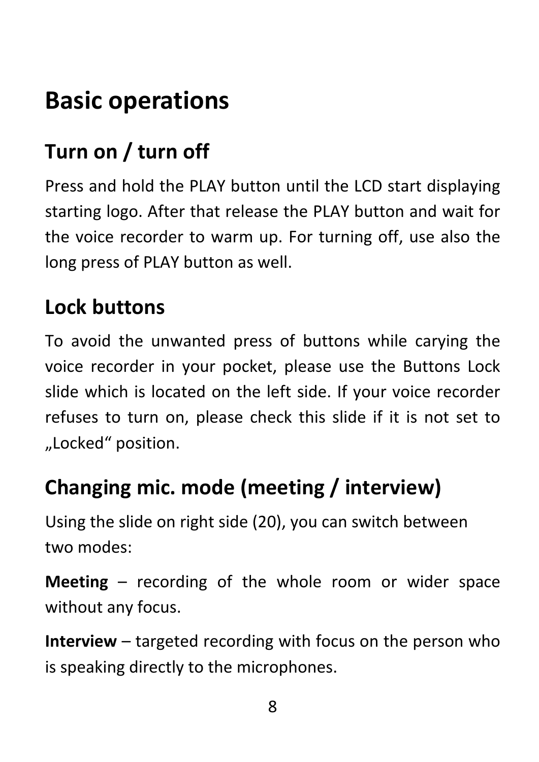# <span id="page-7-0"></span>**Basic operations**

# <span id="page-7-1"></span>**Turn on / turn off**

Press and hold the PLAY button until the LCD start displaying starting logo. After that release the PLAY button and wait for the voice recorder to warm up. For turning off, use also the long press of PLAY button as well.

# <span id="page-7-2"></span>**Lock buttons**

To avoid the unwanted press of buttons while carying the voice recorder in your pocket, please use the Buttons Lock slide which is located on the left side. If your voice recorder refuses to turn on, please check this slide if it is not set to "Locked" position.

# <span id="page-7-3"></span>**Changing mic. mode (meeting / interview)**

Using the slide on right side (20), you can switch between two modes:

**Meeting** – recording of the whole room or wider space without any focus.

**Interview** – targeted recording with focus on the person who is speaking directly to the microphones.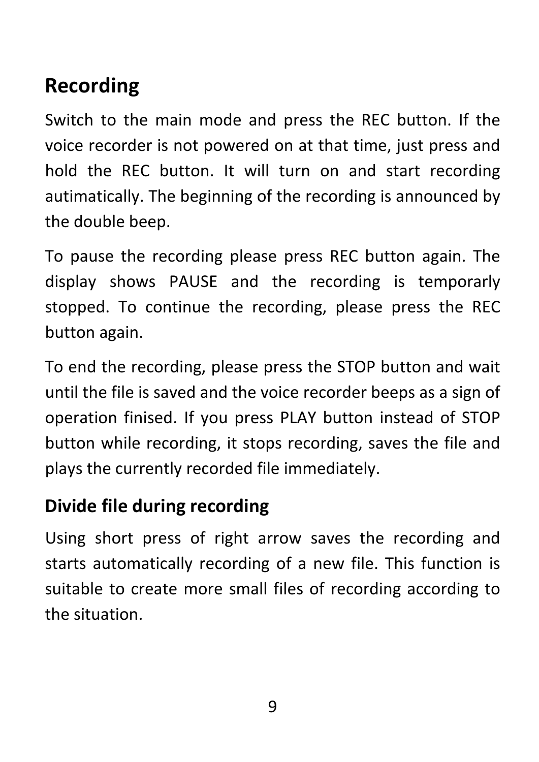# <span id="page-8-0"></span>**Recording**

Switch to the main mode and press the REC button. If the voice recorder is not powered on at that time, just press and hold the REC button. It will turn on and start recording autimatically. The beginning of the recording is announced by the double beep.

To pause the recording please press REC button again. The display shows PAUSE and the recording is temporarly stopped. To continue the recording, please press the REC button again.

To end the recording, please press the STOP button and wait until the file is saved and the voice recorder beeps as a sign of operation finised. If you press PLAY button instead of STOP button while recording, it stops recording, saves the file and plays the currently recorded file immediately.

#### <span id="page-8-1"></span>**Divide file during recording**

Using short press of right arrow saves the recording and starts automatically recording of a new file. This function is suitable to create more small files of recording according to the situation.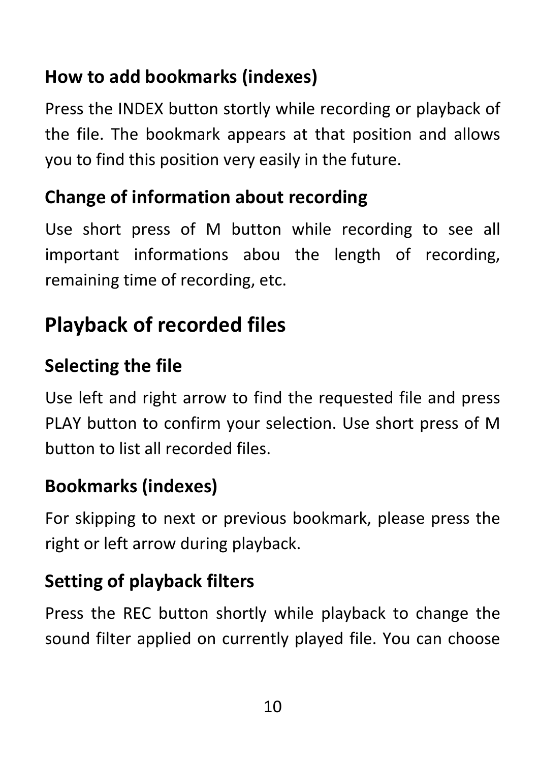# <span id="page-9-0"></span>**How to add bookmarks (indexes)**

Press the INDEX button stortly while recording or playback of the file. The bookmark appears at that position and allows you to find this position very easily in the future.

#### <span id="page-9-1"></span>**Change of information about recording**

Use short press of M button while recording to see all important informations abou the length of recording, remaining time of recording, etc.

# <span id="page-9-2"></span>**Playback of recorded files**

### <span id="page-9-3"></span>**Selecting the file**

Use left and right arrow to find the requested file and press PLAY button to confirm your selection. Use short press of M button to list all recorded files.

### <span id="page-9-4"></span>**Bookmarks (indexes)**

For skipping to next or previous bookmark, please press the right or left arrow during playback.

# <span id="page-9-5"></span>**Setting of playback filters**

Press the REC button shortly while playback to change the sound filter applied on currently played file. You can choose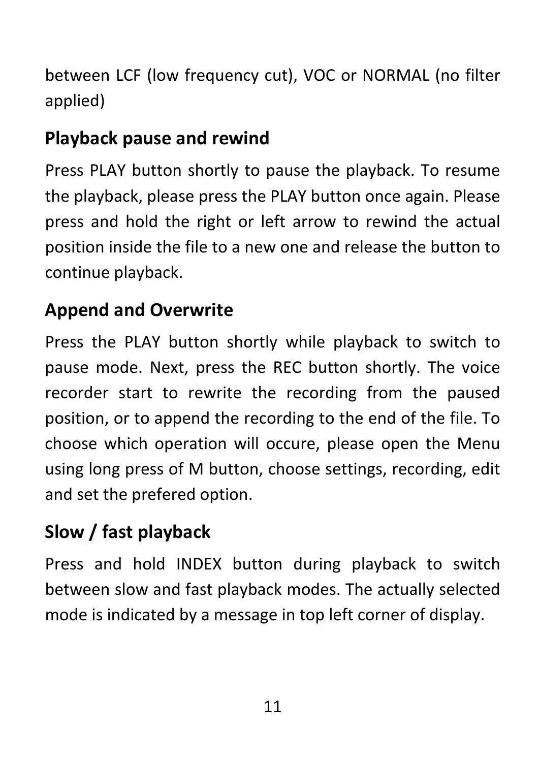between LCF (low frequency cut), VOC or NORMAL (no filter applied)

# <span id="page-10-0"></span>**Playback pause and rewind**

Press PLAY button shortly to pause the playback. To resume the playback, please press the PLAY button once again. Please press and hold the right or left arrow to rewind the actual position inside the file to a new one and release the button to continue playback.

## <span id="page-10-1"></span>**Append and Overwrite**

Press the PLAY button shortly while playback to switch to pause mode. Next, press the REC button shortly. The voice recorder start to rewrite the recording from the paused position, or to append the recording to the end of the file. To choose which operation will occure, please open the Menu using long press of M button, choose settings, recording, edit and set the prefered option.

# <span id="page-10-2"></span>**Slow / fast playback**

Press and hold INDEX button during playback to switch between slow and fast playback modes. The actually selected mode is indicated by a message in top left corner of display.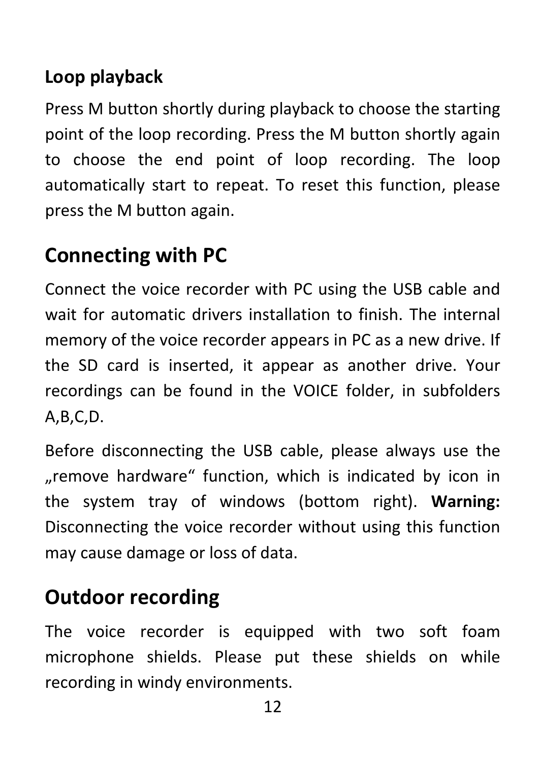## <span id="page-11-0"></span>**Loop playback**

Press M button shortly during playback to choose the starting point of the loop recording. Press the M button shortly again to choose the end point of loop recording. The loop automatically start to repeat. To reset this function, please press the M button again.

# <span id="page-11-1"></span>**Connecting with PC**

Connect the voice recorder with PC using the USB cable and wait for automatic drivers installation to finish. The internal memory of the voice recorder appears in PC as a new drive. If the SD card is inserted, it appear as another drive. Your recordings can be found in the VOICE folder, in subfolders A,B,C,D.

Before disconnecting the USB cable, please always use the "remove hardware" function, which is indicated by icon in the system tray of windows (bottom right). **Warning:** Disconnecting the voice recorder without using this function may cause damage or loss of data.

# <span id="page-11-2"></span>**Outdoor recording**

The voice recorder is equipped with two soft foam microphone shields. Please put these shields on while recording in windy environments.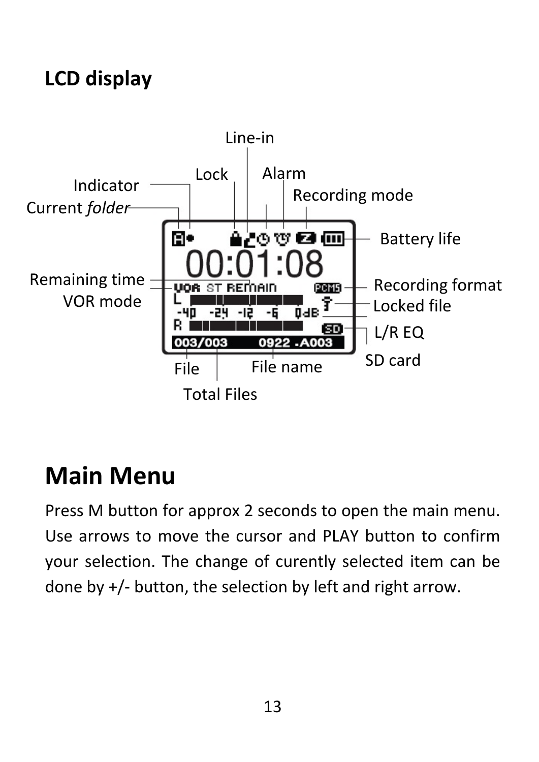# <span id="page-12-0"></span>**LCD display**



# <span id="page-12-1"></span>**Main Menu**

Press M button for approx 2 seconds to open the main menu. Use arrows to move the cursor and PLAY button to confirm your selection. The change of curently selected item can be done by +/- button, the selection by left and right arrow.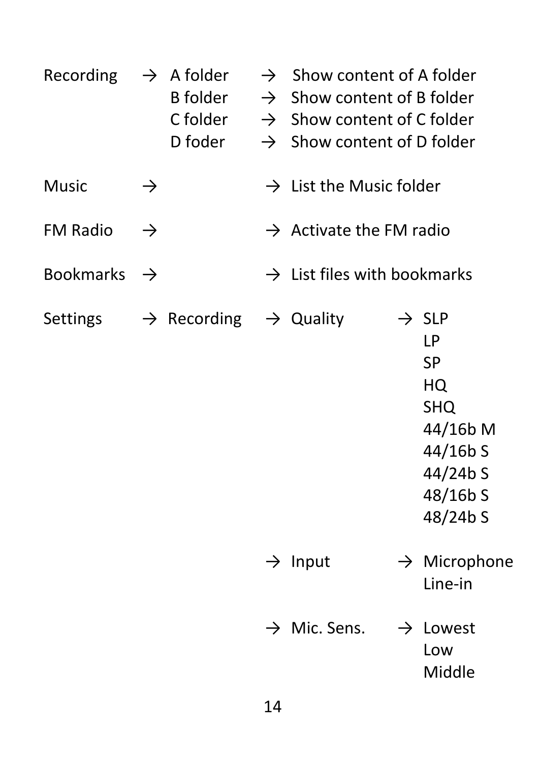| Recording        |               | $\rightarrow$ A folder<br>B folder<br>C folder<br>D foder |               | $\rightarrow$ Show content of A folder<br>$\rightarrow$ Show content of B folder<br>$\rightarrow$ Show content of C folder<br>$\rightarrow$ Show content of D folder |                                                                                                                                 |
|------------------|---------------|-----------------------------------------------------------|---------------|----------------------------------------------------------------------------------------------------------------------------------------------------------------------|---------------------------------------------------------------------------------------------------------------------------------|
| <b>Music</b>     | $\rightarrow$ |                                                           |               | $\rightarrow$ List the Music folder                                                                                                                                  |                                                                                                                                 |
| <b>FM Radio</b>  | $\rightarrow$ |                                                           |               | $\rightarrow$ Activate the FM radio                                                                                                                                  |                                                                                                                                 |
| <b>Bookmarks</b> | $\rightarrow$ |                                                           |               | $\rightarrow$ List files with bookmarks                                                                                                                              |                                                                                                                                 |
| <b>Settings</b>  |               | $\rightarrow$ Recording $\rightarrow$ Quality             |               |                                                                                                                                                                      | $\rightarrow$ SLP<br><b>LP</b><br><b>SP</b><br>HQ<br><b>SHQ</b><br>44/16b M<br>$44/16b$ S<br>$44/24b$ S<br>48/16b S<br>48/24b S |
|                  |               |                                                           | $\rightarrow$ | Input                                                                                                                                                                | $\rightarrow$ Microphone<br>Line-in                                                                                             |
|                  |               |                                                           |               | $\rightarrow$ Mic. Sens.                                                                                                                                             | $\rightarrow$ Lowest                                                                                                            |

Low Middle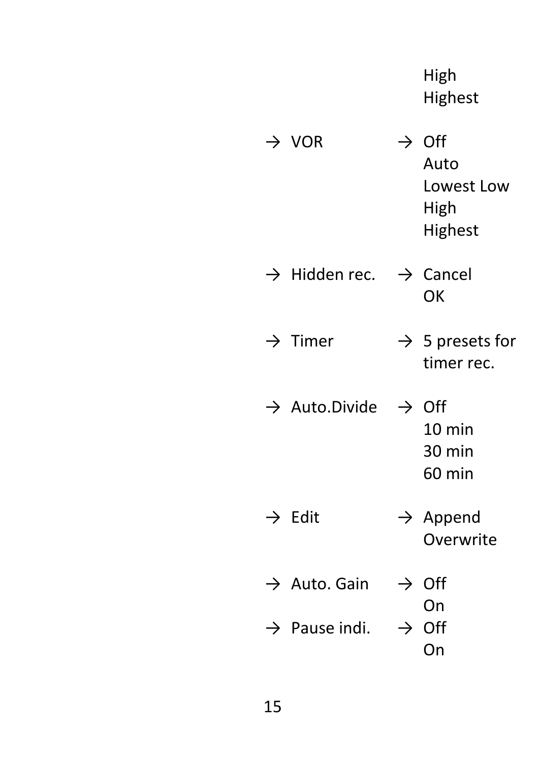High Highest

| - VOR                                          | <b>Off</b><br>Auto<br>Lowest Low<br>High<br>Highest |
|------------------------------------------------|-----------------------------------------------------|
| $\rightarrow$ Hidden rec. $\rightarrow$ Cancel | ΟK                                                  |
| $\rightarrow$ Timer                            | $\rightarrow$ 5 presets for<br>timer rec.           |
| $\rightarrow$ Auto.Divide $\rightarrow$ Off    | $10 \text{ min}$<br>30 min<br>60 min                |
| Edit                                           | $\rightarrow$ Append<br>Overwrite                   |
| $\rightarrow$ Auto. Gain                       | $\rightarrow$ Off                                   |
| $\rightarrow$ Pause indi.                      | On<br>$\rightarrow$ Off                             |

On

15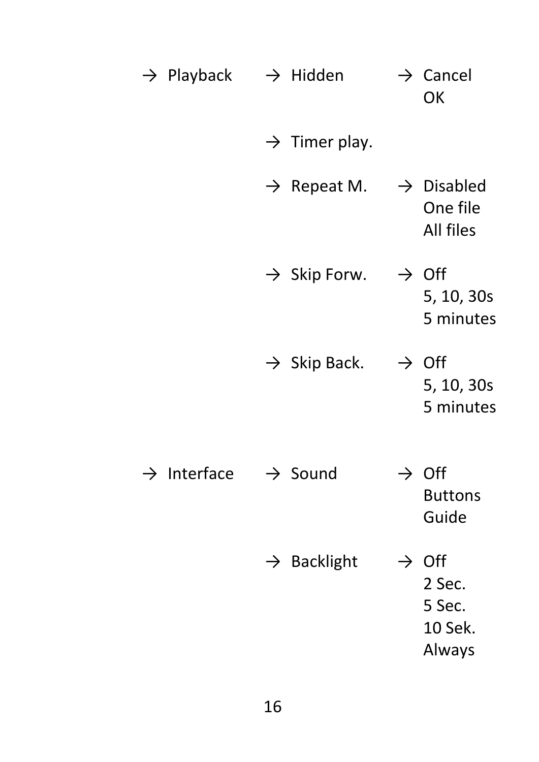| $\rightarrow$ Playback $\rightarrow$ Hidden |               |                           |               | $\rightarrow$ Cancel<br>OK                             |
|---------------------------------------------|---------------|---------------------------|---------------|--------------------------------------------------------|
|                                             |               | $\rightarrow$ Timer play. |               |                                                        |
|                                             |               | $\rightarrow$ Repeat M.   |               | $\rightarrow$ Disabled<br>One file<br><b>All files</b> |
|                                             |               | $\rightarrow$ Skip Forw.  |               | $\rightarrow$ Off<br>5, 10, 30s<br>5 minutes           |
|                                             |               | $\rightarrow$ Skip Back.  |               | $\rightarrow$ Off<br>5, 10, 30s<br>5 minutes           |
| Interface                                   |               | $\rightarrow$ Sound       | $\rightarrow$ | Off<br><b>Buttons</b><br>Guide                         |
|                                             | $\rightarrow$ | <b>Backlight</b>          | $\rightarrow$ | Off<br>2 Sec.<br>5 Sec.<br>10 Sek.<br>Always           |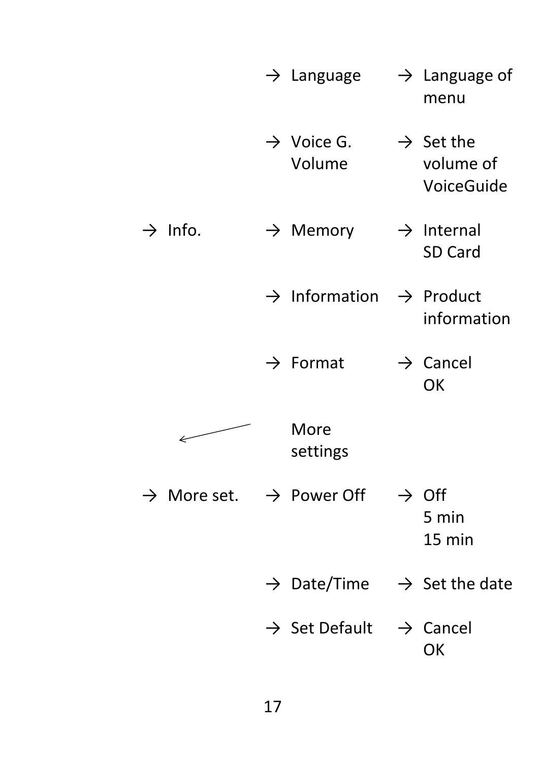|                     | $\rightarrow$ Language                          | $\rightarrow$ Language of<br>menu                  |
|---------------------|-------------------------------------------------|----------------------------------------------------|
|                     | $\rightarrow$ Voice G.<br>Volume                | $\rightarrow$ Set the<br>volume of<br>VoiceGuide   |
| $\rightarrow$ Info. | $\rightarrow$ Memory                            | $\rightarrow$ Internal<br><b>SD Card</b>           |
|                     | $\rightarrow$ Information                       | $\rightarrow$ Product<br>information               |
|                     | $\rightarrow$ Format                            | $\rightarrow$ Cancel<br><b>OK</b>                  |
|                     | More<br>settings                                |                                                    |
|                     | $\rightarrow$ More set. $\rightarrow$ Power Off | $\rightarrow$ Off<br>5 min<br>15 min               |
|                     |                                                 | $\rightarrow$ Date/Time $\rightarrow$ Set the date |
|                     | $\rightarrow$ Set Default $\rightarrow$ Cancel  | OK                                                 |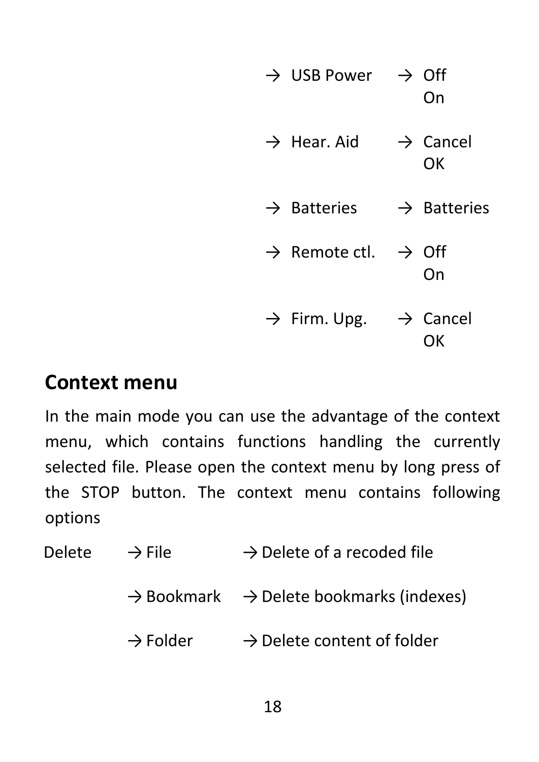| $\rightarrow$ USB Power $\rightarrow$ Off   | On                         |
|---------------------------------------------|----------------------------|
| $\rightarrow$ Hear. Aid                     | $\rightarrow$ Cancel<br>OK |
| $\rightarrow$ Batteries                     | $\rightarrow$ Batteries    |
| $\rightarrow$ Remote ctl. $\rightarrow$ Off | On                         |
| $\rightarrow$ Firm. Upg.                    | $\rightarrow$ Cancel<br>ΟK |

#### <span id="page-17-0"></span>**Context menu**

In the main mode you can use the advantage of the context menu, which contains functions handling the currently selected file. Please open the context menu by long press of the STOP button. The context menu contains following options

Delete  $\rightarrow$  File  $\rightarrow$  Delete of a recoded file

- $\rightarrow$  Bookmark  $\rightarrow$  Delete bookmarks (indexes)
- $\rightarrow$  Folder  $\rightarrow$  Delete content of folder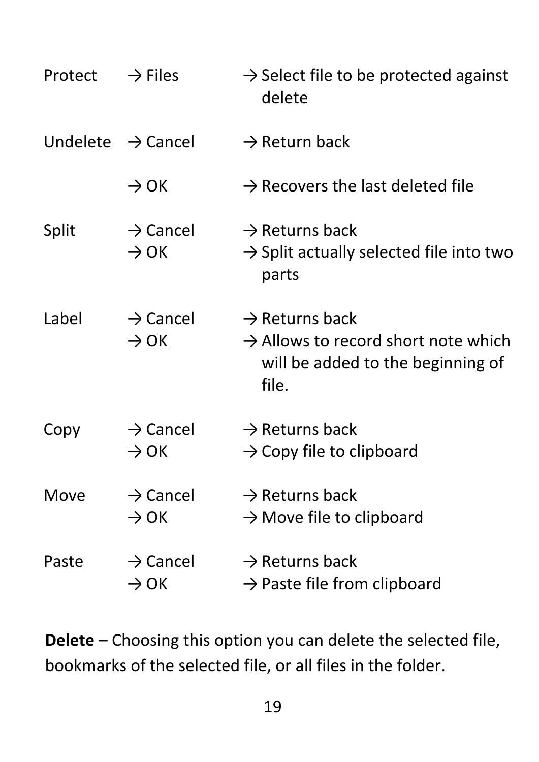| Protect | $\rightarrow$ Files                      | $\rightarrow$ Select file to be protected against<br>delete                                                                 |
|---------|------------------------------------------|-----------------------------------------------------------------------------------------------------------------------------|
|         | Undelete $\rightarrow$ Cancel            | $\rightarrow$ Return back                                                                                                   |
|         | $\rightarrow$ OK                         | $\rightarrow$ Recovers the last deleted file                                                                                |
| Split   | $\rightarrow$ Cancel<br>$\rightarrow$ OK | $\rightarrow$ Returns back<br>$\rightarrow$ Split actually selected file into two<br>parts                                  |
| Label   | $\rightarrow$ Cancel<br>$\rightarrow$ OK | $\rightarrow$ Returns back<br>$\rightarrow$ Allows to record short note which<br>will be added to the beginning of<br>file. |
| Copy    | $\rightarrow$ Cancel<br>$\rightarrow$ OK | $\rightarrow$ Returns back<br>$\rightarrow$ Copy file to clipboard                                                          |
| Move    | $\rightarrow$ Cancel<br>$\rightarrow$ OK | $\rightarrow$ Returns back<br>$\rightarrow$ Move file to clipboard                                                          |
| Paste   | $\rightarrow$ Cancel<br>$\rightarrow$ OK | $\rightarrow$ Returns back<br>$\rightarrow$ Paste file from clipboard                                                       |

**Delete** – Choosing this option you can delete the selected file, bookmarks of the selected file, or all files in the folder.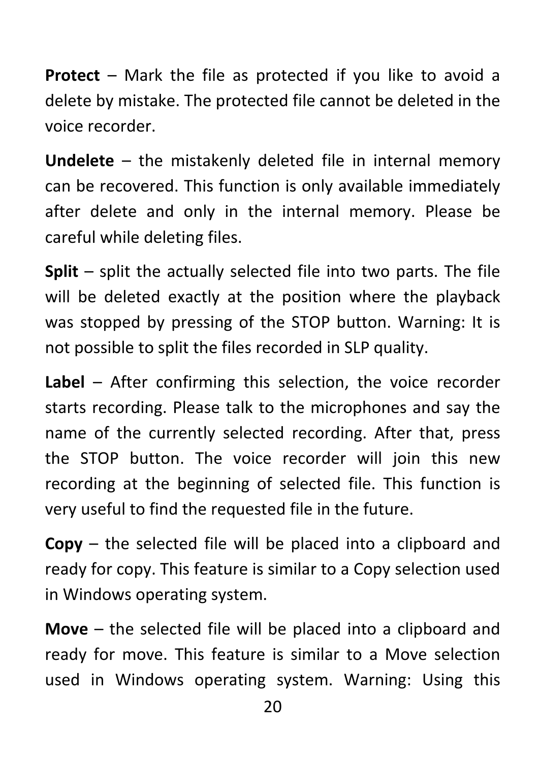**Protect** – Mark the file as protected if you like to avoid a delete by mistake. The protected file cannot be deleted in the voice recorder.

**Undelete** – the mistakenly deleted file in internal memory can be recovered. This function is only available immediately after delete and only in the internal memory. Please be careful while deleting files.

**Split** – split the actually selected file into two parts. The file will be deleted exactly at the position where the playback was stopped by pressing of the STOP button. Warning: It is not possible to split the files recorded in SLP quality.

**Label** – After confirming this selection, the voice recorder starts recording. Please talk to the microphones and say the name of the currently selected recording. After that, press the STOP button. The voice recorder will join this new recording at the beginning of selected file. This function is very useful to find the requested file in the future.

**Copy** – the selected file will be placed into a clipboard and ready for copy. This feature is similar to a Copy selection used in Windows operating system.

**Move** – the selected file will be placed into a clipboard and ready for move. This feature is similar to a Move selection used in Windows operating system. Warning: Using this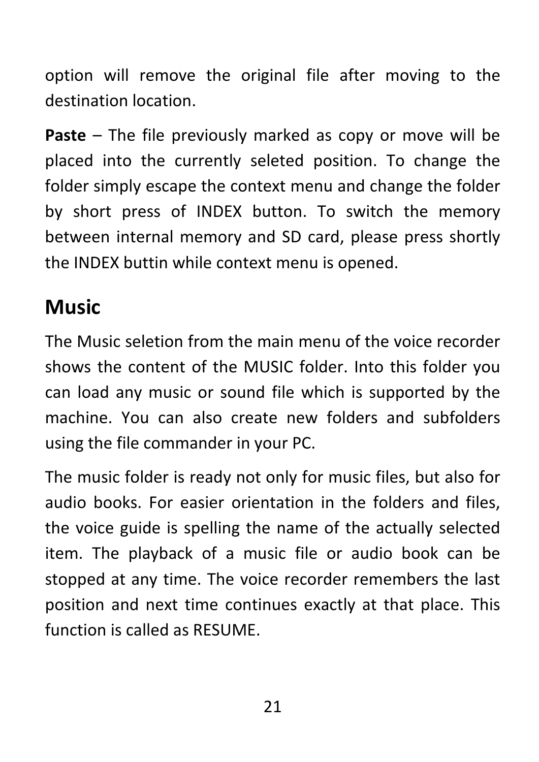option will remove the original file after moving to the destination location.

**Paste** – The file previously marked as copy or move will be placed into the currently seleted position. To change the folder simply escape the context menu and change the folder by short press of INDEX button. To switch the memory between internal memory and SD card, please press shortly the INDEX buttin while context menu is opened.

# <span id="page-20-0"></span>**Music**

The Music seletion from the main menu of the voice recorder shows the content of the MUSIC folder. Into this folder you can load any music or sound file which is supported by the machine. You can also create new folders and subfolders using the file commander in your PC.

<span id="page-20-1"></span>The music folder is ready not only for music files, but also for audio books. For easier orientation in the folders and files, the voice guide is spelling the name of the actually selected item. The playback of a music file or audio book can be stopped at any time. The voice recorder remembers the last position and next time continues exactly at that place. This function is called as RESUME.

21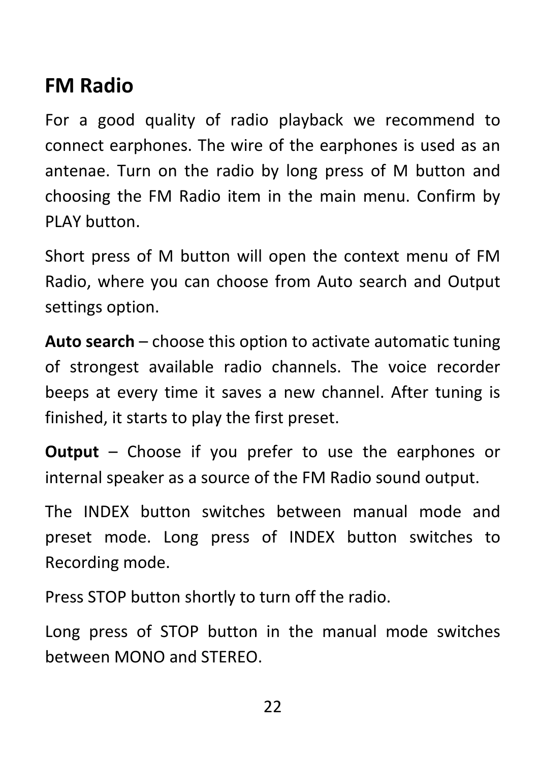# **FM Radio**

For a good quality of radio playback we recommend to connect earphones. The wire of the earphones is used as an antenae. Turn on the radio by long press of M button and choosing the FM Radio item in the main menu. Confirm by PLAY button.

Short press of M button will open the context menu of FM Radio, where you can choose from Auto search and Output settings option.

**Auto search** – choose this option to activate automatic tuning of strongest available radio channels. The voice recorder beeps at every time it saves a new channel. After tuning is finished, it starts to play the first preset.

**Output** – Choose if you prefer to use the earphones or internal speaker as a source of the FM Radio sound output.

The INDEX button switches between manual mode and preset mode. Long press of INDEX button switches to Recording mode.

Press STOP button shortly to turn off the radio.

Long press of STOP button in the manual mode switches between MONO and STEREO.

22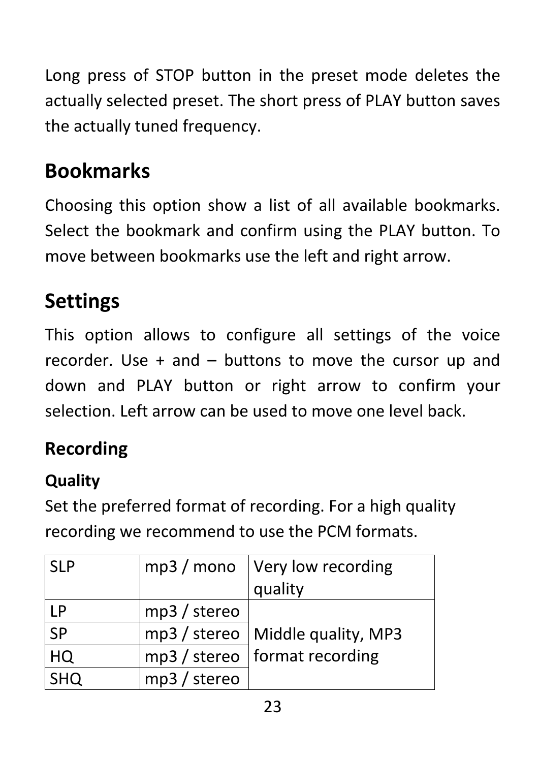Long press of STOP button in the preset mode deletes the actually selected preset. The short press of PLAY button saves the actually tuned frequency.

# <span id="page-22-0"></span>**Bookmarks**

Choosing this option show a list of all available bookmarks. Select the bookmark and confirm using the PLAY button. To move between bookmarks use the left and right arrow.

# <span id="page-22-1"></span>**Settings**

This option allows to configure all settings of the voice recorder. Use  $+$  and  $-$  buttons to move the cursor up and down and PLAY button or right arrow to confirm your selection. Left arrow can be used to move one level back.

# <span id="page-22-2"></span>**Recording**

#### **Quality**

Set the preferred format of recording. For a high quality recording we recommend to use the PCM formats.

| <b>SLP</b> |                | $mp3$ / mono   Very low recording<br>quality |
|------------|----------------|----------------------------------------------|
| <b>LP</b>  | $mp3 /$ stereo |                                              |
| <b>SP</b>  |                | mp3 / stereo   Middle quality, MP3           |
| HQ         |                | $mp3$ / stereo   format recording            |
| <b>SHQ</b> | mp3 / stereo   |                                              |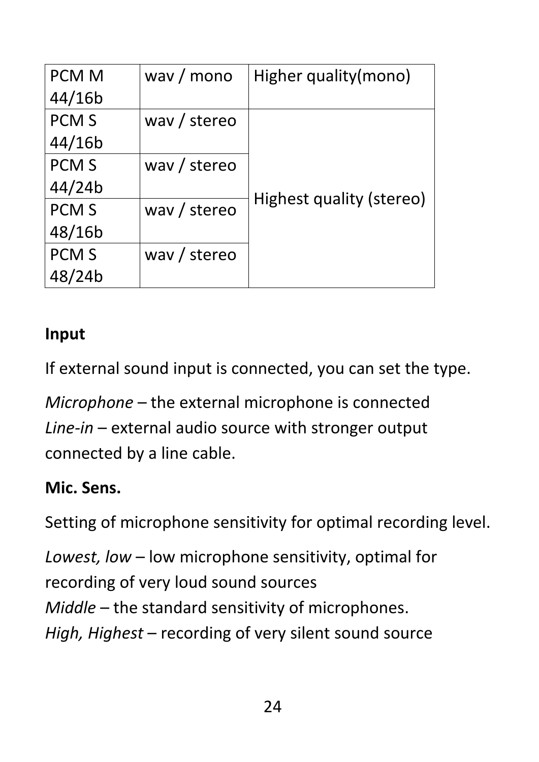| <b>PCM M</b> | way / mono   | Higher quality(mono)     |
|--------------|--------------|--------------------------|
| 44/16b       |              |                          |
| <b>PCM S</b> | way / stereo |                          |
| 44/16b       |              |                          |
| <b>PCM S</b> | way / stereo |                          |
| 44/24b       |              |                          |
| <b>PCM S</b> | way / stereo | Highest quality (stereo) |
| 48/16b       |              |                          |
| <b>PCM S</b> | way / stereo |                          |
| 48/24b       |              |                          |

#### **Input**

If external sound input is connected, you can set the type.

*Microphone* – the external microphone is connected *Line-in* – external audio source with stronger output connected by a line cable.

#### **Mic. Sens.**

Setting of microphone sensitivity for optimal recording level.

*Lowest, low* – low microphone sensitivity, optimal for recording of very loud sound sources *Middle* – the standard sensitivity of microphones. *High, Highest* – recording of very silent sound source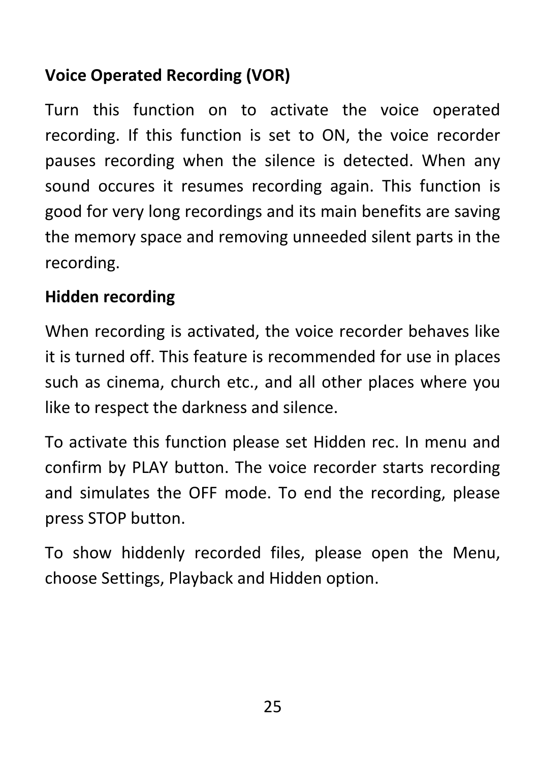#### **Voice Operated Recording (VOR)**

Turn this function on to activate the voice operated recording. If this function is set to ON, the voice recorder pauses recording when the silence is detected. When any sound occures it resumes recording again. This function is good for very long recordings and its main benefits are saving the memory space and removing unneeded silent parts in the recording.

#### **Hidden recording**

When recording is activated, the voice recorder behaves like it is turned off. This feature is recommended for use in places such as cinema, church etc., and all other places where you like to respect the darkness and silence.

To activate this function please set Hidden rec. In menu and confirm by PLAY button. The voice recorder starts recording and simulates the OFF mode. To end the recording, please press STOP button.

To show hiddenly recorded files, please open the Menu, choose Settings, Playback and Hidden option.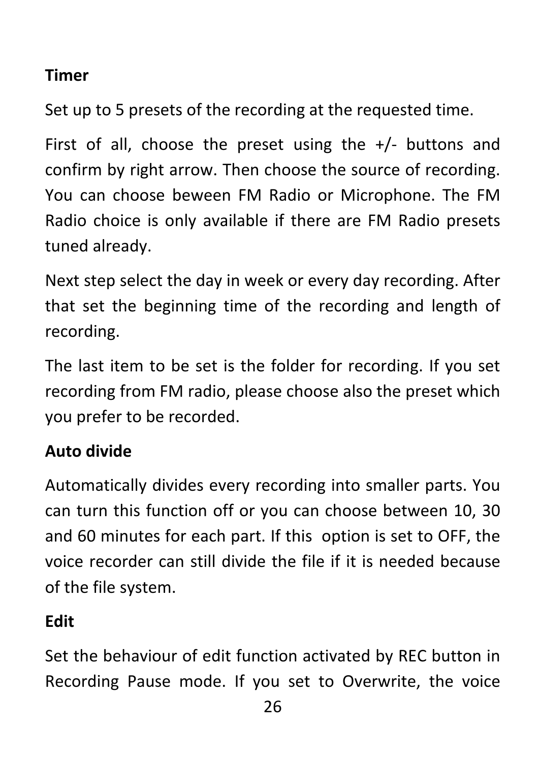#### **Timer**

Set up to 5 presets of the recording at the requested time.

First of all, choose the preset using the  $+/-$  buttons and confirm by right arrow. Then choose the source of recording. You can choose beween FM Radio or Microphone. The FM Radio choice is only available if there are FM Radio presets tuned already.

Next step select the day in week or every day recording. After that set the beginning time of the recording and length of recording.

The last item to be set is the folder for recording. If you set recording from FM radio, please choose also the preset which you prefer to be recorded.

#### **Auto divide**

Automatically divides every recording into smaller parts. You can turn this function off or you can choose between 10, 30 and 60 minutes for each part. If this option is set to OFF, the voice recorder can still divide the file if it is needed because of the file system.

#### **Edit**

Set the behaviour of edit function activated by REC button in Recording Pause mode. If you set to Overwrite, the voice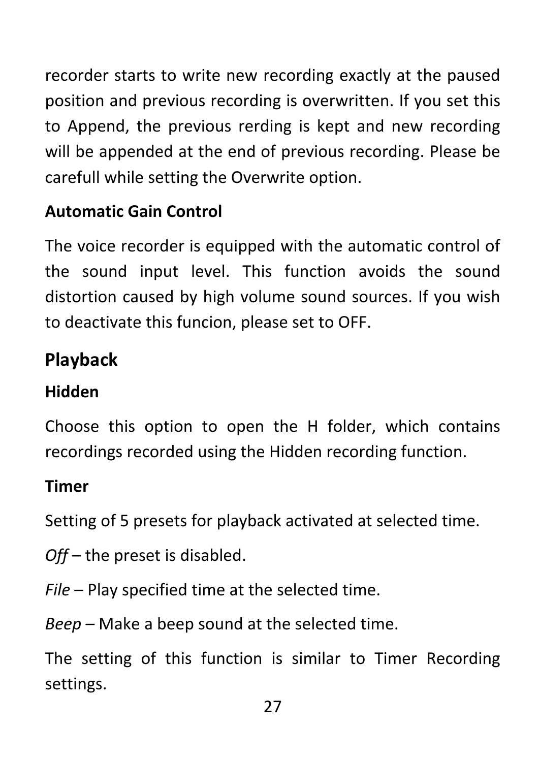recorder starts to write new recording exactly at the paused position and previous recording is overwritten. If you set this to Append, the previous rerding is kept and new recording will be appended at the end of previous recording. Please be carefull while setting the Overwrite option.

#### **Automatic Gain Control**

The voice recorder is equipped with the automatic control of the sound input level. This function avoids the sound distortion caused by high volume sound sources. If you wish to deactivate this funcion, please set to OFF.

## <span id="page-26-0"></span>**Playback**

#### **Hidden**

Choose this option to open the H folder, which contains recordings recorded using the Hidden recording function.

#### **Timer**

Setting of 5 presets for playback activated at selected time.

- *Off* the preset is disabled.
- *File* Play specified time at the selected time.

*Beep* – Make a beep sound at the selected time.

The setting of this function is similar to Timer Recording settings.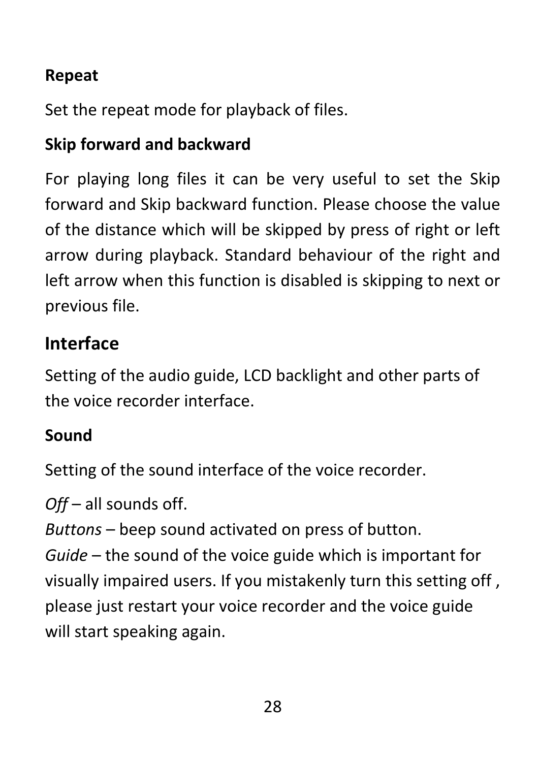#### **Repeat**

Set the repeat mode for playback of files.

#### **Skip forward and backward**

For playing long files it can be very useful to set the Skip forward and Skip backward function. Please choose the value of the distance which will be skipped by press of right or left arrow during playback. Standard behaviour of the right and left arrow when this function is disabled is skipping to next or previous file.

#### <span id="page-27-0"></span>**Interface**

Setting of the audio guide, LCD backlight and other parts of the voice recorder interface.

#### **Sound**

Setting of the sound interface of the voice recorder.

*Off* – all sounds off.

*Buttons* – beep sound activated on press of button.

*Guide* – the sound of the voice guide which is important for visually impaired users. If you mistakenly turn this setting off , please just restart your voice recorder and the voice guide will start speaking again.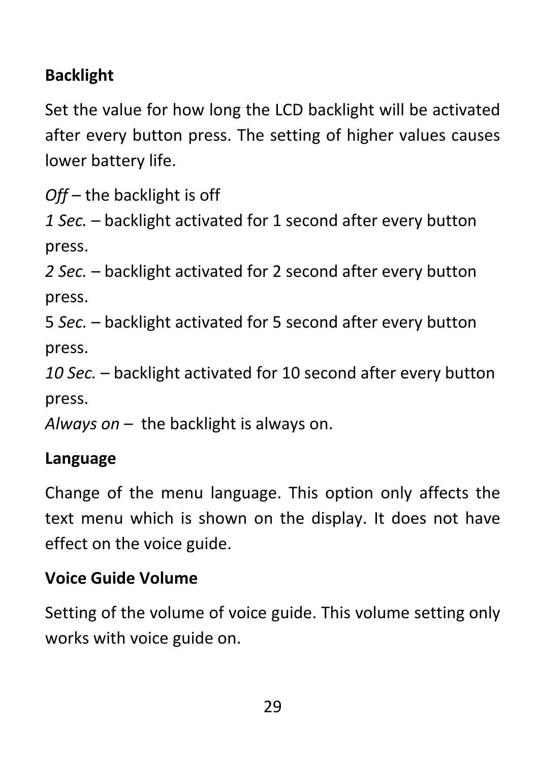#### **Backlight**

Set the value for how long the LCD backlight will be activated after every button press. The setting of higher values causes lower battery life.

*Off* – the backlight is off

*1 Sec.* – backlight activated for 1 second after every button press.

*2 Sec.* – backlight activated for 2 second after every button press.

5 *Sec.* – backlight activated for 5 second after every button press.

*10 Sec.* – backlight activated for 10 second after every button press.

*Always on* – the backlight is always on.

#### **Language**

Change of the menu language. This option only affects the text menu which is shown on the display. It does not have effect on the voice guide.

#### **Voice Guide Volume**

Setting of the volume of voice guide. This volume setting only works with voice guide on.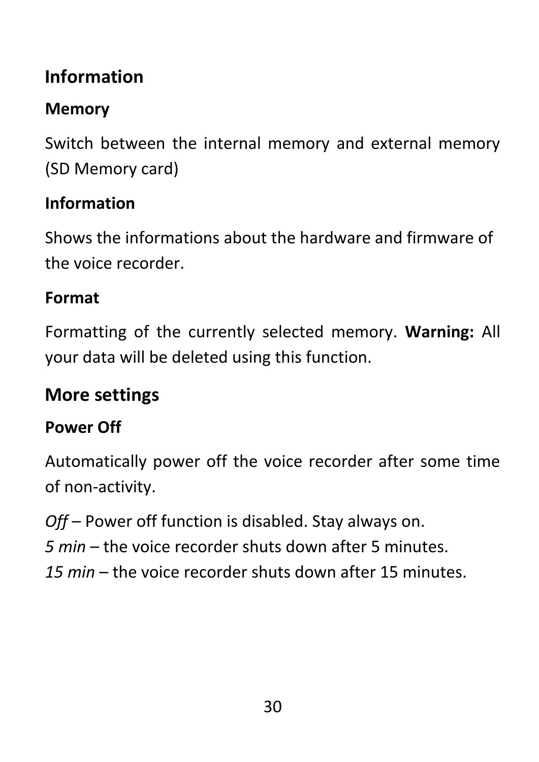# <span id="page-29-0"></span>**Information**

## **Memory**

Switch between the internal memory and external memory (SD Memory card)

#### **Information**

Shows the informations about the hardware and firmware of the voice recorder.

#### **Format**

Formatting of the currently selected memory. **Warning:** All your data will be deleted using this function.

### <span id="page-29-1"></span>**More settings**

#### **Power Off**

Automatically power off the voice recorder after some time of non-activity.

*Off* – Power off function is disabled. Stay always on.

*5 min* – the voice recorder shuts down after 5 minutes.

*15 min* – the voice recorder shuts down after 15 minutes.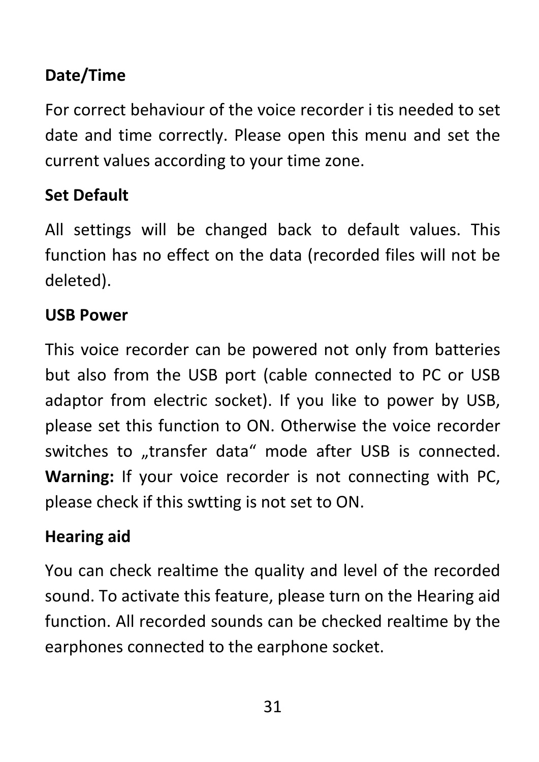#### **Date/Time**

For correct behaviour of the voice recorder i tis needed to set date and time correctly. Please open this menu and set the current values according to your time zone.

#### **Set Default**

All settings will be changed back to default values. This function has no effect on the data (recorded files will not be deleted).

#### **USB Power**

This voice recorder can be powered not only from batteries but also from the USB port (cable connected to PC or USB adaptor from electric socket). If you like to power by USB, please set this function to ON. Otherwise the voice recorder switches to "transfer data" mode after USB is connected. **Warning:** If your voice recorder is not connecting with PC, please check if this swtting is not set to ON.

#### **Hearing aid**

You can check realtime the quality and level of the recorded sound. To activate this feature, please turn on the Hearing aid function. All recorded sounds can be checked realtime by the earphones connected to the earphone socket.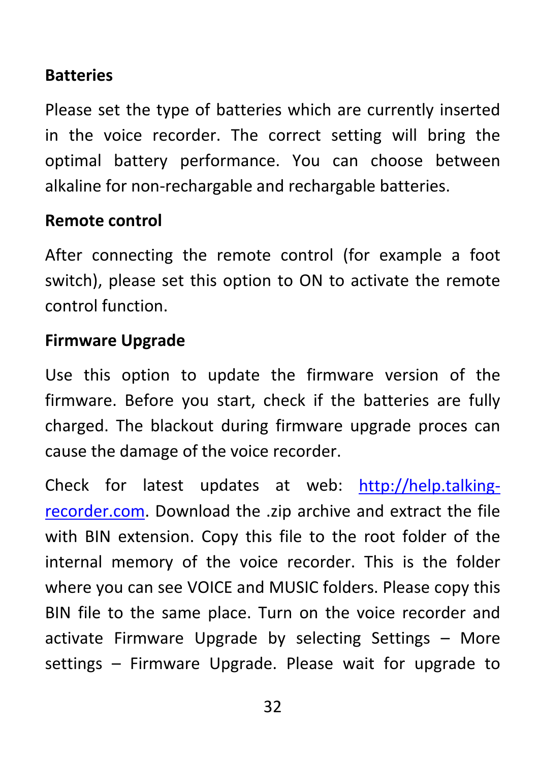#### **Batteries**

Please set the type of batteries which are currently inserted in the voice recorder. The correct setting will bring the optimal battery performance. You can choose between alkaline for non-rechargable and rechargable batteries.

#### **Remote control**

After connecting the remote control (for example a foot switch), please set this option to ON to activate the remote control function.

#### **Firmware Upgrade**

Use this option to update the firmware version of the firmware. Before you start, check if the batteries are fully charged. The blackout during firmware upgrade proces can cause the damage of the voice recorder.

Check for latest updates at web: [http://help.talking](http://help.talking-recorder.com/)[recorder.com.](http://help.talking-recorder.com/) Download the .zip archive and extract the file with BIN extension. Copy this file to the root folder of the internal memory of the voice recorder. This is the folder where you can see VOICE and MUSIC folders. Please copy this BIN file to the same place. Turn on the voice recorder and activate Firmware Upgrade by selecting Settings – More settings – Firmware Upgrade. Please wait for upgrade to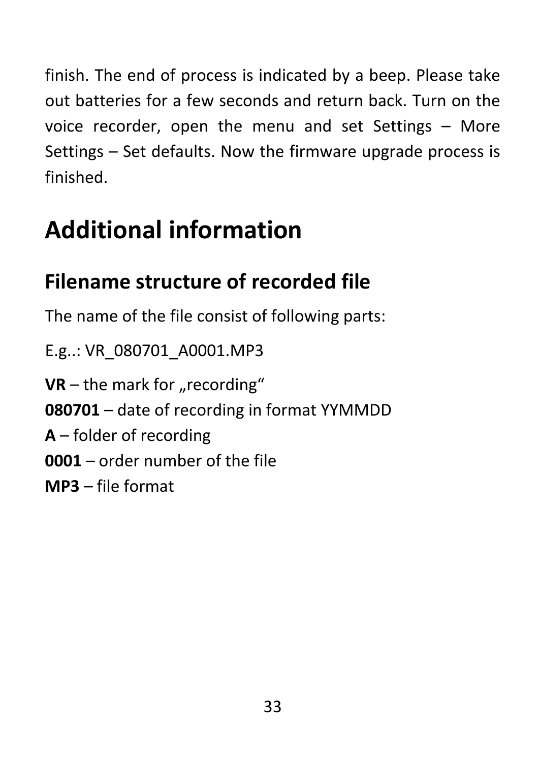finish. The end of process is indicated by a beep. Please take out batteries for a few seconds and return back. Turn on the voice recorder, open the menu and set Settings – More Settings – Set defaults. Now the firmware upgrade process is finished.

# <span id="page-32-0"></span>**Additional information**

# <span id="page-32-1"></span>**Filename structure of recorded file**

The name of the file consist of following parts:

E.g..: VR\_080701\_A0001.MP3

 $VR$  – the mark for "recording"

**080701** – date of recording in format YYMMDD

**A** – folder of recording

**0001** – order number of the file

<span id="page-32-2"></span>**MP3** – file format